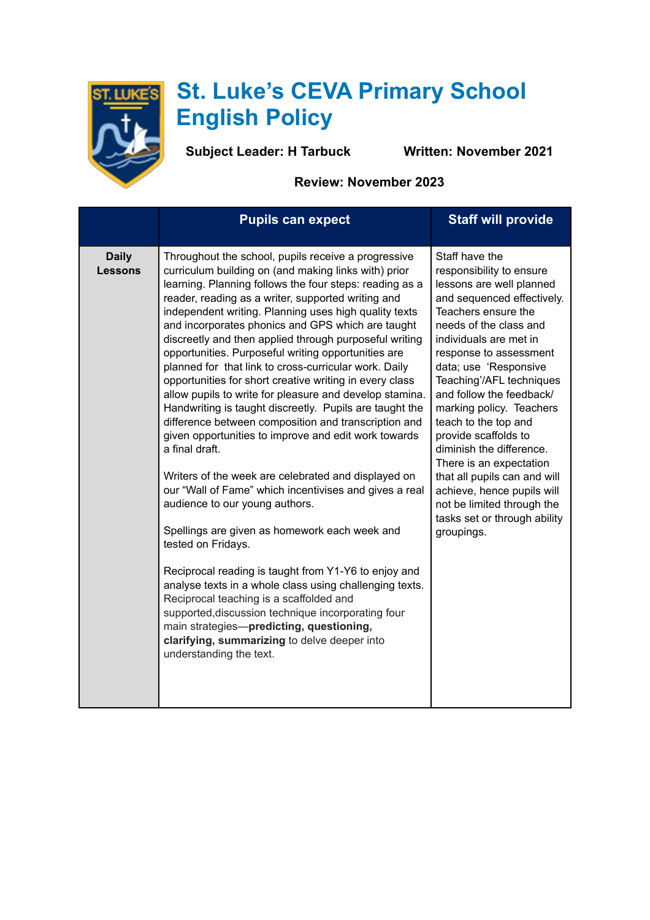

## **St. Luke's CEVA Primary School English Policy**

**Subject Leader: H Tarbuck Written: November 2021** 

**Review: November 2023**

|                         | <b>Pupils can expect</b>                                                                                                                                                                                                                                                                                                                                                                                                                                                                                                                                                                                                                                                                                                                                                                                                                                                                                                                                                                                                                                                                                                                                                                                                                                                                                                                                                                                     | <b>Staff will provide</b>                                                                                                                                                                                                                                                                                                                                                                                                                                                                                                                                               |
|-------------------------|--------------------------------------------------------------------------------------------------------------------------------------------------------------------------------------------------------------------------------------------------------------------------------------------------------------------------------------------------------------------------------------------------------------------------------------------------------------------------------------------------------------------------------------------------------------------------------------------------------------------------------------------------------------------------------------------------------------------------------------------------------------------------------------------------------------------------------------------------------------------------------------------------------------------------------------------------------------------------------------------------------------------------------------------------------------------------------------------------------------------------------------------------------------------------------------------------------------------------------------------------------------------------------------------------------------------------------------------------------------------------------------------------------------|-------------------------------------------------------------------------------------------------------------------------------------------------------------------------------------------------------------------------------------------------------------------------------------------------------------------------------------------------------------------------------------------------------------------------------------------------------------------------------------------------------------------------------------------------------------------------|
| <b>Daily</b><br>Lessons | Throughout the school, pupils receive a progressive<br>curriculum building on (and making links with) prior<br>learning. Planning follows the four steps: reading as a<br>reader, reading as a writer, supported writing and<br>independent writing. Planning uses high quality texts<br>and incorporates phonics and GPS which are taught<br>discreetly and then applied through purposeful writing<br>opportunities. Purposeful writing opportunities are<br>planned for that link to cross-curricular work. Daily<br>opportunities for short creative writing in every class<br>allow pupils to write for pleasure and develop stamina.<br>Handwriting is taught discreetly. Pupils are taught the<br>difference between composition and transcription and<br>given opportunities to improve and edit work towards<br>a final draft.<br>Writers of the week are celebrated and displayed on<br>our "Wall of Fame" which incentivises and gives a real<br>audience to our young authors.<br>Spellings are given as homework each week and<br>tested on Fridays.<br>Reciprocal reading is taught from Y1-Y6 to enjoy and<br>analyse texts in a whole class using challenging texts.<br>Reciprocal teaching is a scaffolded and<br>supported, discussion technique incorporating four<br>main strategies-predicting, questioning,<br>clarifying, summarizing to delve deeper into<br>understanding the text. | Staff have the<br>responsibility to ensure<br>lessons are well planned<br>and sequenced effectively.<br>Teachers ensure the<br>needs of the class and<br>individuals are met in<br>response to assessment<br>data; use 'Responsive<br>Teaching'/AFL techniques<br>and follow the feedback/<br>marking policy. Teachers<br>teach to the top and<br>provide scaffolds to<br>diminish the difference.<br>There is an expectation<br>that all pupils can and will<br>achieve, hence pupils will<br>not be limited through the<br>tasks set or through ability<br>groupings. |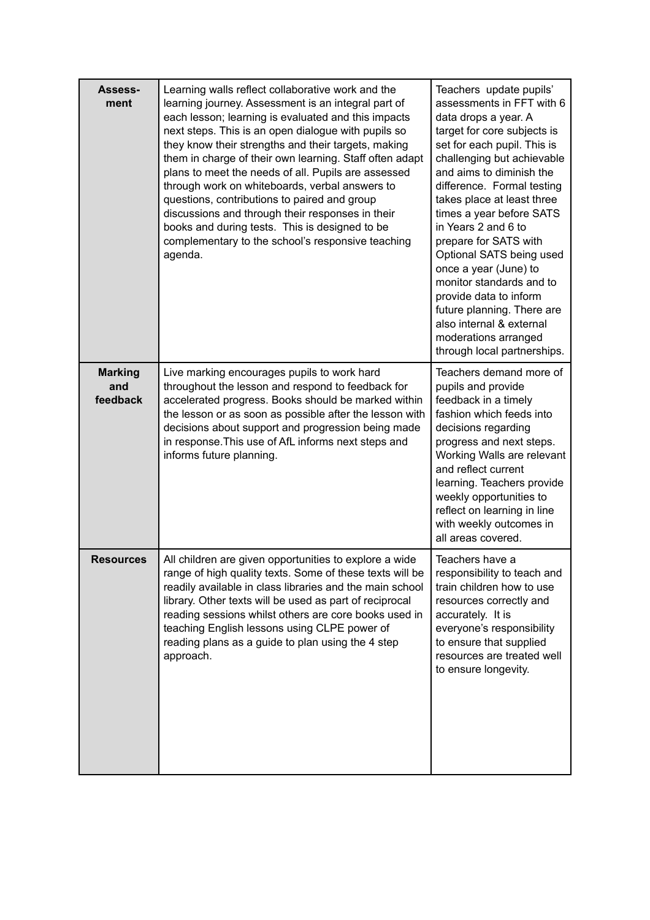| Assess-<br>ment                   | Learning walls reflect collaborative work and the<br>learning journey. Assessment is an integral part of<br>each lesson; learning is evaluated and this impacts<br>next steps. This is an open dialogue with pupils so<br>they know their strengths and their targets, making<br>them in charge of their own learning. Staff often adapt<br>plans to meet the needs of all. Pupils are assessed<br>through work on whiteboards, verbal answers to<br>questions, contributions to paired and group<br>discussions and through their responses in their<br>books and during tests. This is designed to be<br>complementary to the school's responsive teaching<br>agenda. | Teachers update pupils'<br>assessments in FFT with 6<br>data drops a year. A<br>target for core subjects is<br>set for each pupil. This is<br>challenging but achievable<br>and aims to diminish the<br>difference. Formal testing<br>takes place at least three<br>times a year before SATS<br>in Years 2 and 6 to<br>prepare for SATS with<br>Optional SATS being used<br>once a year (June) to<br>monitor standards and to<br>provide data to inform<br>future planning. There are<br>also internal & external<br>moderations arranged<br>through local partnerships. |
|-----------------------------------|-------------------------------------------------------------------------------------------------------------------------------------------------------------------------------------------------------------------------------------------------------------------------------------------------------------------------------------------------------------------------------------------------------------------------------------------------------------------------------------------------------------------------------------------------------------------------------------------------------------------------------------------------------------------------|--------------------------------------------------------------------------------------------------------------------------------------------------------------------------------------------------------------------------------------------------------------------------------------------------------------------------------------------------------------------------------------------------------------------------------------------------------------------------------------------------------------------------------------------------------------------------|
| <b>Marking</b><br>and<br>feedback | Live marking encourages pupils to work hard<br>throughout the lesson and respond to feedback for<br>accelerated progress. Books should be marked within<br>the lesson or as soon as possible after the lesson with<br>decisions about support and progression being made<br>in response. This use of AfL informs next steps and<br>informs future planning.                                                                                                                                                                                                                                                                                                             | Teachers demand more of<br>pupils and provide<br>feedback in a timely<br>fashion which feeds into<br>decisions regarding<br>progress and next steps.<br>Working Walls are relevant<br>and reflect current<br>learning. Teachers provide<br>weekly opportunities to<br>reflect on learning in line<br>with weekly outcomes in<br>all areas covered.                                                                                                                                                                                                                       |
| <b>Resources</b>                  | All children are given opportunities to explore a wide<br>range of high quality texts. Some of these texts will be<br>readily available in class libraries and the main school<br>library. Other texts will be used as part of reciprocal<br>reading sessions whilst others are core books used in<br>teaching English lessons using CLPE power of<br>reading plans as a guide to plan using the 4 step<br>approach.                                                                                                                                                                                                                                                    | Teachers have a<br>responsibility to teach and<br>train children how to use<br>resources correctly and<br>accurately. It is<br>everyone's responsibility<br>to ensure that supplied<br>resources are treated well<br>to ensure longevity.                                                                                                                                                                                                                                                                                                                                |